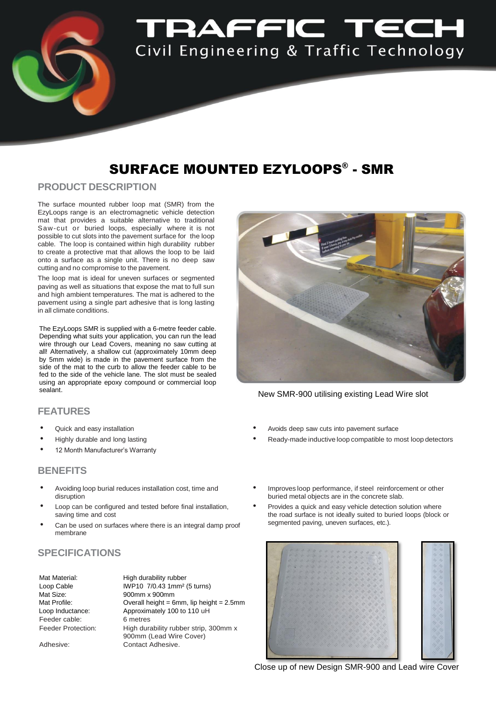

# SURFACE MOUNTED EZYLOOPS® - SMR

### **PRODUCT DESCRIPTION**

The surface mounted rubber loop mat (SMR) from the EzyLoops range is an electromagnetic vehicle detection mat that provides a suitable alternative to traditional Saw-cut or buried loops, especially where it is not possible to cut slots into the pavement surface for the loop cable. The loop is contained within high durability rubber to create a protective mat that allows the loop to be laid onto a surface as a single unit. There is no deep saw cutting and no compromise to the pavement.

The loop mat is ideal for uneven surfaces or segmented paving as well as situations that expose the mat to full sun and high ambient temperatures. The mat is adhered to the pavement using a single part adhesive that is long lasting in all climate conditions.

The EzyLoops SMR is supplied with a 6-metre feeder cable. Depending what suits your application, you can run the lead wire through our Lead Covers, meaning no saw cutting at all! Alternatively, a shallow cut (approximately 10mm deep by 5mm wide) is made in the pavement surface from the side of the mat to the curb to allow the feeder cable to be fed to the side of the vehicle lane. The slot must be sealed using an appropriate epoxy compound or commercial loop sealant.

#### **FEATURES**

- Quick and easy installation
- Highly durable and long lasting
- 12 Month Manufacturer's Warranty

#### **BENEFITS**

- Avoiding loop burial reduces installation cost, time and disruption
- Loop can be configured and tested before final installation, saving time and cost
- Can be used on surfaces where there is an integral damp proof membrane

## **SPECIFICATIONS**

| High durability rubber                        |
|-----------------------------------------------|
| IWP10 7/0.43 1mm <sup>2</sup> (5 turns)       |
| 900mm x 900mm                                 |
| Overall height = $6mm$ , lip height = $2.5mm$ |
| Approximately 100 to 110 uH                   |
| 6 metres                                      |
| High durability rubber strip, 300mm x         |
| 900mm (Lead Wire Cover)                       |
| Contact Adhesive.                             |
|                                               |

New SMR-900 utilising existing Lead Wire slot

- Avoids deep saw cuts into pavement surface
- Ready-made inductive loop compatible to most loop detectors
- Improves loop performance, if steel reinforcement or other buried metal objects are in the concrete slab.
- Provides a quick and easy vehicle detection solution where the road surface is not ideally suited to buried loops (block or segmented paving, uneven surfaces, etc.).



Close up of new Design SMR-900 and Lead wire Cover